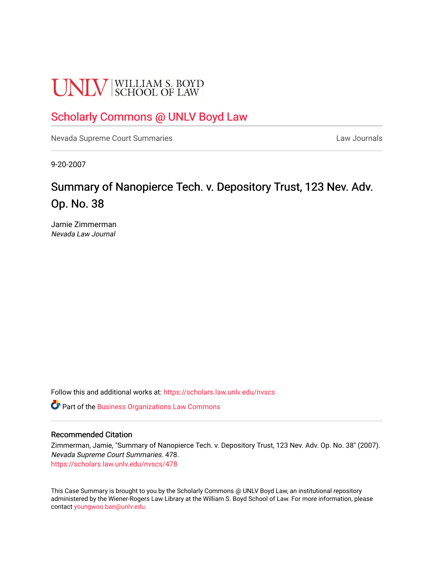# **UNLV** SCHOOL OF LAW

## [Scholarly Commons @ UNLV Boyd Law](https://scholars.law.unlv.edu/)

[Nevada Supreme Court Summaries](https://scholars.law.unlv.edu/nvscs) **Law Journals** Law Journals

9-20-2007

# Summary of Nanopierce Tech. v. Depository Trust, 123 Nev. Adv. Op. No. 38

Jamie Zimmerman Nevada Law Journal

Follow this and additional works at: [https://scholars.law.unlv.edu/nvscs](https://scholars.law.unlv.edu/nvscs?utm_source=scholars.law.unlv.edu%2Fnvscs%2F478&utm_medium=PDF&utm_campaign=PDFCoverPages)

Part of the [Business Organizations Law Commons](http://network.bepress.com/hgg/discipline/900?utm_source=scholars.law.unlv.edu%2Fnvscs%2F478&utm_medium=PDF&utm_campaign=PDFCoverPages)

#### Recommended Citation

Zimmerman, Jamie, "Summary of Nanopierce Tech. v. Depository Trust, 123 Nev. Adv. Op. No. 38" (2007). Nevada Supreme Court Summaries. 478. [https://scholars.law.unlv.edu/nvscs/478](https://scholars.law.unlv.edu/nvscs/478?utm_source=scholars.law.unlv.edu%2Fnvscs%2F478&utm_medium=PDF&utm_campaign=PDFCoverPages)

This Case Summary is brought to you by the Scholarly Commons @ UNLV Boyd Law, an institutional repository administered by the Wiener-Rogers Law Library at the William S. Boyd School of Law. For more information, please contact [youngwoo.ban@unlv.edu](mailto:youngwoo.ban@unlv.edu).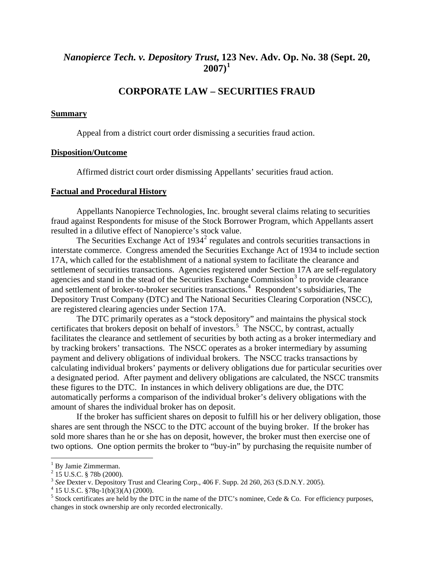## *Nanopierce Tech. v. Depository Trust***, 1[23](#page-1-0) Nev. Adv. Op. No. 38 (Sept. 20, 2007)[1](#page-1-0)**

### **CORPORATE LAW – SECURITIES FRAUD**

#### **Summary**

Appeal from a district court order dismissing a securities fraud action.

#### **Disposition/Outcome**

Affirmed district court order dismissing Appellants' securities fraud action.

#### **Factual and Procedural History**

 Appellants Nanopierce Technologies, Inc. brought several claims relating to securities fraud against Respondents for misuse of the Stock Borrower Program, which Appellants assert resulted in a dilutive effect of Nanopierce's stock value.

The Securities Exchange Act of  $1934<sup>2</sup>$  $1934<sup>2</sup>$  $1934<sup>2</sup>$  regulates and controls securities transactions in interstate commerce. Congress amended the Securities Exchange Act of 1934 to include section 17A, which called for the establishment of a national system to facilitate the clearance and settlement of securities transactions. Agencies registered under Section 17A are self-regulatory agencies and stand in the stead of the Securities Exchange Commission $3$  to provide clearance and settlement of broker-to-broker securities transactions.<sup>[4](#page-1-3)</sup> Respondent's subsidiaries, The Depository Trust Company (DTC) and The National Securities Clearing Corporation (NSCC), are registered clearing agencies under Section 17A.

 The DTC primarily operates as a "stock depository" and maintains the physical stock certificates that brokers deposit on behalf of investors.<sup>[5](#page-1-4)</sup> The NSCC, by contrast, actually facilitates the clearance and settlement of securities by both acting as a broker intermediary and by tracking brokers' transactions. The NSCC operates as a broker intermediary by assuming payment and delivery obligations of individual brokers. The NSCC tracks transactions by calculating individual brokers' payments or delivery obligations due for particular securities over a designated period. After payment and delivery obligations are calculated, the NSCC transmits these figures to the DTC. In instances in which delivery obligations are due, the DTC automatically performs a comparison of the individual broker's delivery obligations with the amount of shares the individual broker has on deposit.

If the broker has sufficient shares on deposit to fulfill his or her delivery obligation, those shares are sent through the NSCC to the DTC account of the buying broker. If the broker has sold more shares than he or she has on deposit, however, the broker must then exercise one of two options. One option permits the broker to "buy-in" by purchasing the requisite number of

 $\overline{a}$ 

<span id="page-1-0"></span><sup>&</sup>lt;sup>1</sup> By Jamie Zimmerman.

 $^{2}$  15 U.S.C. § 78b (2000).

<span id="page-1-2"></span><span id="page-1-1"></span><sup>&</sup>lt;sup>3</sup> See Dexter v. Depository Trust and Clearing Corp., 406 F. Supp. 2d 260, 263 (S.D.N.Y. 2005).

<span id="page-1-3"></span> $4$  15 U.S.C. §78q-1(b)(3)(A) (2000).

<span id="page-1-4"></span><sup>&</sup>lt;sup>5</sup> Stock certificates are held by the DTC in the name of the DTC's nominee, Cede & Co. For efficiency purposes, changes in stock ownership are only recorded electronically.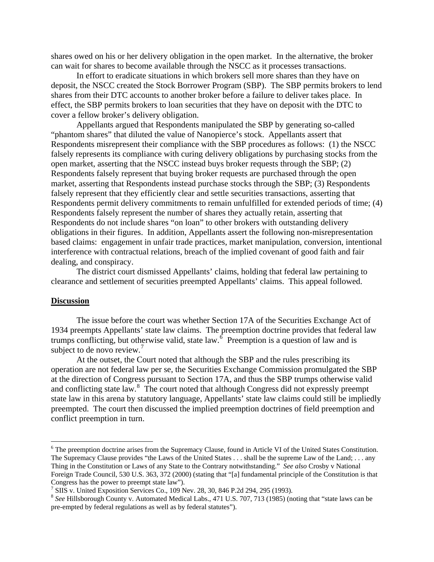shares owed on his or her delivery obligation in the open market. In the alternative, the broker can wait for shares to become available through the NSCC as it processes transactions.

 In effort to eradicate situations in which brokers sell more shares than they have on deposit, the NSCC created the Stock Borrower Program (SBP). The SBP permits brokers to lend shares from their DTC accounts to another broker before a failure to deliver takes place. In effect, the SBP permits brokers to loan securities that they have on deposit with the DTC to cover a fellow broker's delivery obligation.

 Appellants argued that Respondents manipulated the SBP by generating so-called "phantom shares" that diluted the value of Nanopierce's stock. Appellants assert that Respondents misrepresent their compliance with the SBP procedures as follows: (1) the NSCC falsely represents its compliance with curing delivery obligations by purchasing stocks from the open market, asserting that the NSCC instead buys broker requests through the SBP; (2) Respondents falsely represent that buying broker requests are purchased through the open market, asserting that Respondents instead purchase stocks through the SBP; (3) Respondents falsely represent that they efficiently clear and settle securities transactions, asserting that Respondents permit delivery commitments to remain unfulfilled for extended periods of time; (4) Respondents falsely represent the number of shares they actually retain, asserting that Respondents do not include shares "on loan" to other brokers with outstanding delivery obligations in their figures. In addition, Appellants assert the following non-misrepresentation based claims: engagement in unfair trade practices, market manipulation, conversion, intentional interference with contractual relations, breach of the implied covenant of good faith and fair dealing, and conspiracy.

 The district court dismissed Appellants' claims, holding that federal law pertaining to clearance and settlement of securities preempted Appellants' claims. This appeal followed.

#### **Discussion**

1

 The issue before the court was whether Section 17A of the Securities Exchange Act of 1934 preempts Appellants' state law claims. The preemption doctrine provides that federal law trumps conflicting, but otherwise valid, state law.  $\delta$  Preemption is a question of law and is subject to de novo review. $<sup>7</sup>$ </sup>

At the outset, the Court noted that although the SBP and the rules prescribing its operation are not federal law per se, the Securities Exchange Commission promulgated the SBP at the direction of Congress pursuant to Section 17A, and thus the SBP trumps otherwise valid and conflicting state law.<sup>[8](#page-2-1)</sup> The court noted that although Congress did not expressly preempt state law in this arena by statutory language, Appellants' state law claims could still be impliedly preempted. The court then discussed the implied preemption doctrines of field preemption and conflict preemption in turn.

<span id="page-2-0"></span><sup>&</sup>lt;sup>6</sup> The preemption doctrine arises from the Supremacy Clause, found in Article VI of the United States Constitution. The Supremacy Clause provides "the Laws of the United States . . . shall be the supreme Law of the Land; . . . any Thing in the Constitution or Laws of any State to the Contrary notwithstanding." *See also* Crosby v National Foreign Trade Council, 530 U.S. 363, 372 (2000) (stating that "[a] fundamental principle of the Constitution is that Congress has the power to preempt state law").

<sup>7</sup> SIIS v. United Exposition Services Co., 109 Nev. 28, 30, 846 P.2d 294, 295 (1993).

<span id="page-2-1"></span><sup>&</sup>lt;sup>8</sup> See Hillsborough County v. Automated Medical Labs., 471 U.S. 707, 713 (1985) (noting that "state laws can be pre-empted by federal regulations as well as by federal statutes").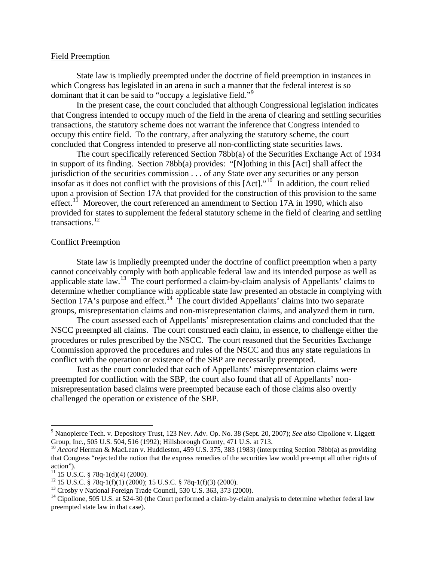#### Field Preemption

 State law is impliedly preempted under the doctrine of field preemption in instances in which Congress has legislated in an arena in such a manner that the federal interest is so dominant that it can be said to "occupy a legislative field."<sup>[9](#page-3-0)</sup>

 In the present case, the court concluded that although Congressional legislation indicates that Congress intended to occupy much of the field in the arena of clearing and settling securities transactions, the statutory scheme does not warrant the inference that Congress intended to occupy this entire field. To the contrary, after analyzing the statutory scheme, the court concluded that Congress intended to preserve all non-conflicting state securities laws.

The court specifically referenced Section 78bb(a) of the Securities Exchange Act of 1934 in support of its finding. Section 78bb(a) provides: "[N]othing in this [Act] shall affect the jurisdiction of the securities commission . . . of any State over any securities or any person insofar as it does not conflict with the provisions of this  $[Act]$ ."<sup>[10](#page-3-1)</sup> In addition, the court relied upon a provision of Section 17A that provided for the construction of this provision to the same effect.<sup>[11](#page-3-2)</sup> Moreover, the court referenced an amendment to Section 17A in 1990, which also provided for states to supplement the federal statutory scheme in the field of clearing and settling transactions.<sup>[12](#page-3-3)</sup>

#### Conflict Preemption

 State law is impliedly preempted under the doctrine of conflict preemption when a party cannot conceivably comply with both applicable federal law and its intended purpose as well as applicable state law.[13](#page-3-4) The court performed a claim-by-claim analysis of Appellants' claims to determine whether compliance with applicable state law presented an obstacle in complying with Section 17A's purpose and effect.<sup>[14](#page-3-5)</sup> The court divided Appellants' claims into two separate groups, misrepresentation claims and non-misrepresentation claims, and analyzed them in turn.

 The court assessed each of Appellants' misrepresentation claims and concluded that the NSCC preempted all claims. The court construed each claim, in essence, to challenge either the procedures or rules prescribed by the NSCC. The court reasoned that the Securities Exchange Commission approved the procedures and rules of the NSCC and thus any state regulations in conflict with the operation or existence of the SBP are necessarily preempted.

 Just as the court concluded that each of Appellants' misrepresentation claims were preempted for confliction with the SBP, the court also found that all of Appellants' nonmisrepresentation based claims were preempted because each of those claims also overtly challenged the operation or existence of the SBP.

 $\overline{a}$ 

<span id="page-3-0"></span><sup>9</sup> Nanopierce Tech. v. Depository Trust, 123 Nev. Adv. Op. No. 38 (Sept. 20, 2007); *See also* Cipollone v. Liggett Group, Inc., 505 U.S. 504, 516 (1992); Hillsborough County, 471 U.S. at 713.<br><sup>10</sup> *Accord* Herman & MacLean v. Huddleston, 459 U.S. 375, 383 (1983) (interpreting Section 78bb(a) as providing

<span id="page-3-1"></span>that Congress "rejected the notion that the express remedies of the securities law would pre-empt all other rights of action").

<span id="page-3-2"></span> $11$  15 U.S.C. § 78q-1(d)(4) (2000).

<span id="page-3-3"></span> $12$  15 U.S.C. § 78q-1(f)(1) (2000); 15 U.S.C. § 78q-1(f)(3) (2000).

<span id="page-3-4"></span><sup>&</sup>lt;sup>13</sup> Crosby v National Foreign Trade Council, 530 U.S. 363, 373 (2000).

<span id="page-3-5"></span> $14$  Cipollone, 505 U.S. at 524-30 (the Court performed a claim-by-claim analysis to determine whether federal law preempted state law in that case).